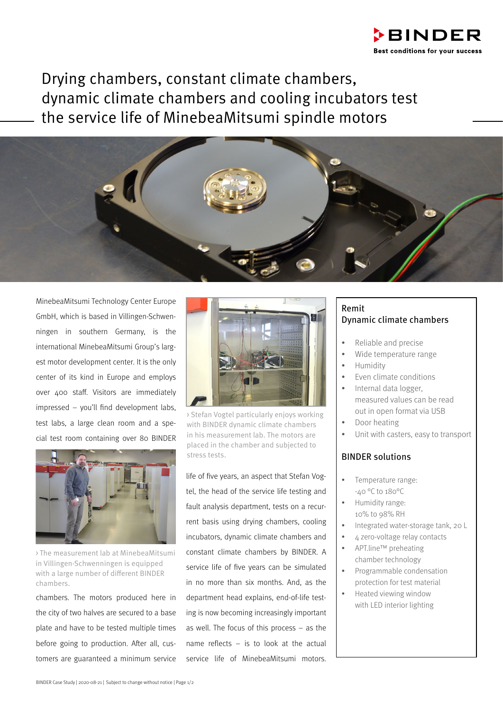

Drying chambers, constant climate chambers, dynamic climate chambers and cooling incubators test the service life of MinebeaMitsumi spindle motors



MinebeaMitsumi Technology Center Europe GmbH, which is based in Villingen-Schwenningen in southern Germany, is the international MinebeaMitsumi Group's largest motor development center. It is the only center of its kind in Europe and employs over 400 staff. Visitors are immediately impressed – you'll find development labs, test labs, a large clean room and a special test room containing over 80 BINDER



> The measurement lab at MinebeaMitsumi in Villingen-Schwenningen is equipped with a large number of different BINDER chambers.

chambers. The motors produced here in the city of two halves are secured to a base plate and have to be tested multiple times before going to production. After all, customers are guaranteed a minimum service



> Stefan Vogtel particularly enjoys working with BINDER dynamic climate chambers in his measurement lab. The motors are placed in the chamber and subjected to stress tests.

life of five years, an aspect that Stefan Vogtel, the head of the service life testing and fault analysis department, tests on a recurrent basis using drying chambers, cooling incubators, dynamic climate chambers and constant climate chambers by BINDER. A service life of five years can be simulated in no more than six months. And, as the department head explains, end-of-life testing is now becoming increasingly important as well. The focus of this process – as the name reflects – is to look at the actual service life of MinebeaMitsumi motors.

## Remit Dynamic climate chambers

- Reliable and precise
- Wide temperature range
- Humidity
- Even climate conditions
- Internal data logger, measured values can be read out in open format via USB
- Door heating
- Unit with casters, easy to transport

## BINDER solutions

- Temperature range: -40 °C to 180°C
- Humidity range: 10% to 98% RH
- Integrated water-storage tank, 20 L
- 4 zero-voltage relay contacts
- APT.line™ preheating chamber technology
- Programmable condensation protection for test material
- Heated viewing window with LED interior lighting